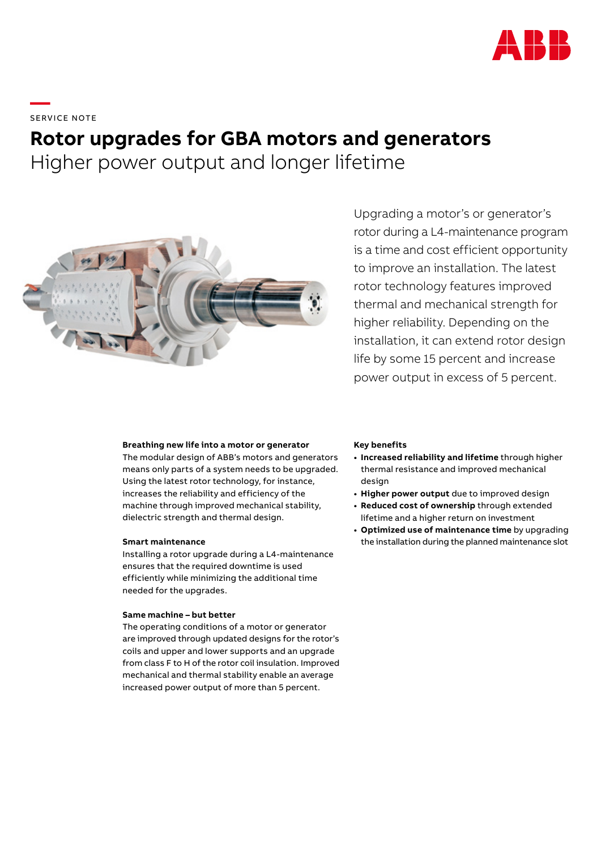

**—**  SERVICE NOTE

# **Rotor upgrades for GBA motors and generators**

Higher power output and longer lifetime



Upgrading a motor's or generator's rotor during a L4-maintenance program is a time and cost efficient opportunity to improve an installation. The latest rotor technology features improved thermal and mechanical strength for higher reliability. Depending on the installation, it can extend rotor design life by some 15 percent and increase power output in excess of 5 percent.

### **Breathing new life into a motor or generator**

The modular design of ABB's motors and generators means only parts of a system needs to be upgraded. Using the latest rotor technology, for instance, increases the reliability and efficiency of the machine through improved mechanical stability, dielectric strength and thermal design.

#### **Smart maintenance**

Installing a rotor upgrade during a L4-maintenance ensures that the required downtime is used efficiently while minimizing the additional time needed for the upgrades.

## **Same machine – but better**

The operating conditions of a motor or generator are improved through updated designs for the rotor's coils and upper and lower supports and an upgrade from class F to H of the rotor coil insulation. Improved mechanical and thermal stability enable an average increased power output of more than 5 percent.

#### **Key benefits**

- **• Increased reliability and lifetime** through higher thermal resistance and improved mechanical design
- **• Higher power output** due to improved design
- **• Reduced cost of ownership** through extended lifetime and a higher return on investment
- **• Optimized use of maintenance time** by upgrading the installation during the planned maintenance slot